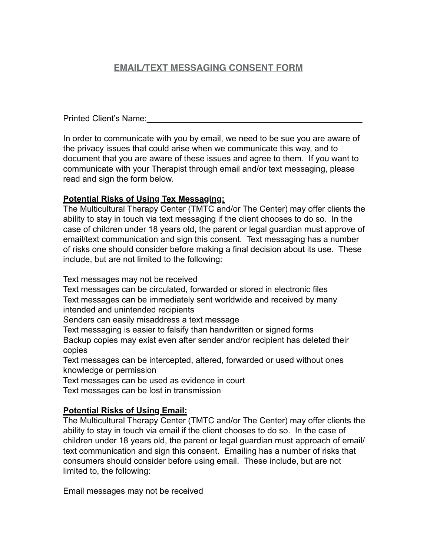# **EMAIL/TEXT MESSAGING CONSENT FORM**

Printed Client's Name:

In order to communicate with you by email, we need to be sue you are aware of the privacy issues that could arise when we communicate this way, and to document that you are aware of these issues and agree to them. If you want to communicate with your Therapist through email and/or text messaging, please read and sign the form below.

### **Potential Risks of Using Tex Messaging:**

The Multicultural Therapy Center (TMTC and/or The Center) may offer clients the ability to stay in touch via text messaging if the client chooses to do so. In the case of children under 18 years old, the parent or legal guardian must approve of email/text communication and sign this consent. Text messaging has a number of risks one should consider before making a final decision about its use. These include, but are not limited to the following:

Text messages may not be received

Text messages can be circulated, forwarded or stored in electronic files Text messages can be immediately sent worldwide and received by many intended and unintended recipients

Senders can easily misaddress a text message

Text messaging is easier to falsify than handwritten or signed forms Backup copies may exist even after sender and/or recipient has deleted their copies

Text messages can be intercepted, altered, forwarded or used without ones knowledge or permission

Text messages can be used as evidence in court Text messages can be lost in transmission

### **Potential Risks of Using Email:**

The Multicultural Therapy Center (TMTC and/or The Center) may offer clients the ability to stay in touch via email if the client chooses to do so. In the case of children under 18 years old, the parent or legal guardian must approach of email/ text communication and sign this consent. Emailing has a number of risks that consumers should consider before using email. These include, but are not limited to, the following:

Email messages may not be received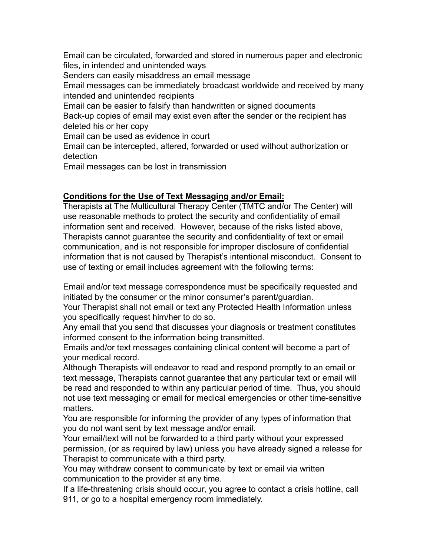Email can be circulated, forwarded and stored in numerous paper and electronic files, in intended and unintended ways Senders can easily misaddress an email message Email messages can be immediately broadcast worldwide and received by many intended and unintended recipients Email can be easier to falsify than handwritten or signed documents Back-up copies of email may exist even after the sender or the recipient has deleted his or her copy Email can be used as evidence in court Email can be intercepted, altered, forwarded or used without authorization or detection

Email messages can be lost in transmission

### **Conditions for the Use of Text Messaging and/or Email:**

Therapists at The Multicultural Therapy Center (TMTC and/or The Center) will use reasonable methods to protect the security and confidentiality of email information sent and received. However, because of the risks listed above, Therapists cannot guarantee the security and confidentiality of text or email communication, and is not responsible for improper disclosure of confidential information that is not caused by Therapist's intentional misconduct. Consent to use of texting or email includes agreement with the following terms:

Email and/or text message correspondence must be specifically requested and initiated by the consumer or the minor consumer's parent/guardian.

Your Therapist shall not email or text any Protected Health Information unless you specifically request him/her to do so.

Any email that you send that discusses your diagnosis or treatment constitutes informed consent to the information being transmitted.

Emails and/or text messages containing clinical content will become a part of your medical record.

Although Therapists will endeavor to read and respond promptly to an email or text message, Therapists cannot guarantee that any particular text or email will be read and responded to within any particular period of time. Thus, you should not use text messaging or email for medical emergencies or other time-sensitive matters.

You are responsible for informing the provider of any types of information that you do not want sent by text message and/or email.

Your email/text will not be forwarded to a third party without your expressed permission, (or as required by law) unless you have already signed a release for Therapist to communicate with a third party.

You may withdraw consent to communicate by text or email via written communication to the provider at any time.

If a life-threatening crisis should occur, you agree to contact a crisis hotline, call 911, or go to a hospital emergency room immediately.